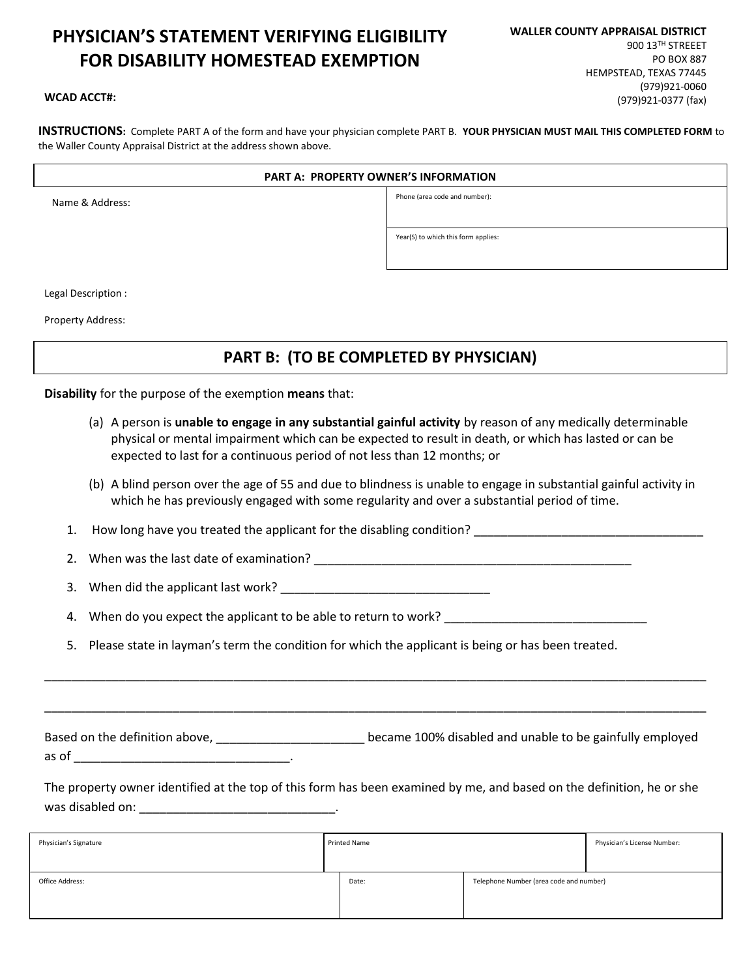# PHYSICIAN'S STATEMENT VERIFYING ELIGIBILITY FOR DISABILITY HOMESTEAD EXEMPTION

#### WCAD ACCT#:

INSTRUCTIONS: Complete PART A of the form and have your physician complete PART B. YOUR PHYSICIAN MUST MAIL THIS COMPLETED FORM to the Waller County Appraisal District at the address shown above.

#### PART A: PROPERTY OWNER'S INFORMATION

Name & Address:

ֺ

Phone (area code and number):

Year(S) to which this form applies:

Legal Description :

Property Address:

# PART B: (TO BE COMPLETED BY PHYSICIAN)

Disability for the purpose of the exemption means that:

- (a) A person is unable to engage in any substantial gainful activity by reason of any medically determinable physical or mental impairment which can be expected to result in death, or which has lasted or can be expected to last for a continuous period of not less than 12 months; or
- (b) A blind person over the age of 55 and due to blindness is unable to engage in substantial gainful activity in which he has previously engaged with some regularity and over a substantial period of time.

1. How long have you treated the applicant for the disabling condition?

2. When was the last date of examination?

3. When did the applicant last work? \_\_\_\_\_\_\_\_\_\_\_\_\_\_\_\_\_\_\_\_\_\_\_\_\_\_\_\_\_\_\_

4. When do you expect the applicant to be able to return to work? \_\_\_\_\_\_\_\_\_\_\_\_\_\_\_\_\_\_\_\_\_

5. Please state in layman's term the condition for which the applicant is being or has been treated.

Based on the definition above, \_\_\_\_\_\_\_\_\_\_\_\_\_\_\_\_\_\_\_\_\_\_ became 100% disabled and unable to be gainfully employed as of \_\_\_\_\_\_\_\_\_\_\_\_\_\_\_\_\_\_\_\_\_\_\_\_\_\_\_\_\_\_\_\_.

\_\_\_\_\_\_\_\_\_\_\_\_\_\_\_\_\_\_\_\_\_\_\_\_\_\_\_\_\_\_\_\_\_\_\_\_\_\_\_\_\_\_\_\_\_\_\_\_\_\_\_\_\_\_\_\_\_\_\_\_\_\_\_\_\_\_\_\_\_\_\_\_\_\_\_\_\_\_\_\_\_\_\_\_\_\_\_\_\_\_\_\_\_\_\_\_\_\_

\_\_\_\_\_\_\_\_\_\_\_\_\_\_\_\_\_\_\_\_\_\_\_\_\_\_\_\_\_\_\_\_\_\_\_\_\_\_\_\_\_\_\_\_\_\_\_\_\_\_\_\_\_\_\_\_\_\_\_\_\_\_\_\_\_\_\_\_\_\_\_\_\_\_\_\_\_\_\_\_\_\_\_\_\_\_\_\_\_\_\_\_\_\_\_\_\_\_

The property owner identified at the top of this form has been examined by me, and based on the definition, he or she was disabled on: \_\_\_\_\_\_\_\_\_\_\_\_\_\_\_\_\_\_\_\_\_\_\_\_\_\_\_\_\_.

| <b>Printed Name</b><br>Physician's Signature |                                         | Physician's License Number: |
|----------------------------------------------|-----------------------------------------|-----------------------------|
| Office Address:<br>Date:                     | Telephone Number (area code and number) |                             |

WALLER COUNTY APPRAISAL DISTRICT 900 13TH STREEET PO BOX 887 HEMPSTEAD, TEXAS 77445 (979)921-0060 (979)921-0377 (fax)